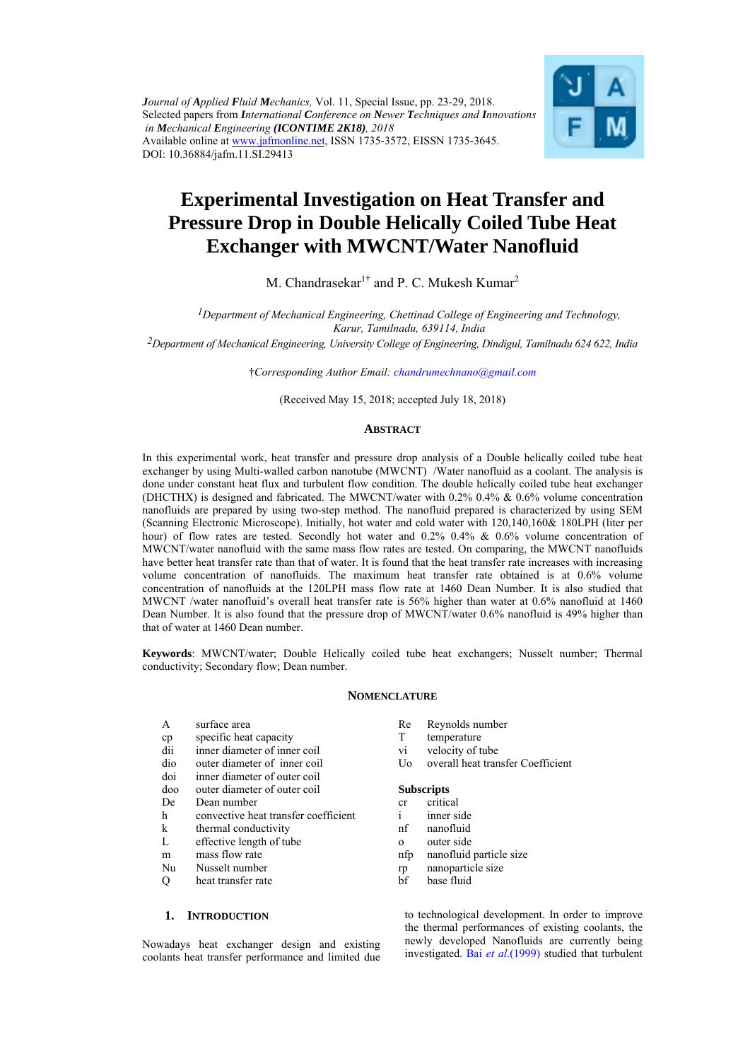*Journal of Applied Fluid Mechanics,* Vol. 11, Special Issue, pp. 23-29, 2018. Selected papers from *International Conference on Newer Techniques and Innovations in Mechanical Engineering (ICONTIME 2K18), 2018*  Available online at www.jafmonline.net, ISSN 1735-3572, EISSN 1735-3645. DOI: 10.36884/jafm.11.SI.29413



# **Experimental Investigation on Heat Transfer and Pressure Drop in Double Helically Coiled Tube Heat Exchanger with MWCNT/Water Nanofluid**

M. Chandrasekar<sup>1†</sup> and P. C. Mukesh Kumar<sup>2</sup>

*1Department of Mechanical Engineering, Chettinad College of Engineering and Technology, Karur, Tamilnadu, 639114, India* 

*2Department of Mechanical Engineering, University College of Engineering, Dindigul, Tamilnadu 624 622, India* 

†*Corresponding Author Email: chandrumechnano@gmail.com*

(Received May 15, 2018; accepted July 18, 2018)

## **ABSTRACT**

In this experimental work, heat transfer and pressure drop analysis of a Double helically coiled tube heat exchanger by using Multi-walled carbon nanotube (MWCNT) /Water nanofluid as a coolant. The analysis is done under constant heat flux and turbulent flow condition. The double helically coiled tube heat exchanger (DHCTHX) is designed and fabricated. The MWCNT/water with 0.2% 0.4% & 0.6% volume concentration nanofluids are prepared by using two-step method. The nanofluid prepared is characterized by using SEM (Scanning Electronic Microscope). Initially, hot water and cold water with 120,140,160& 180LPH (liter per hour) of flow rates are tested. Secondly hot water and 0.2% 0.4% & 0.6% volume concentration of MWCNT/water nanofluid with the same mass flow rates are tested. On comparing, the MWCNT nanofluids have better heat transfer rate than that of water. It is found that the heat transfer rate increases with increasing volume concentration of nanofluids. The maximum heat transfer rate obtained is at 0.6% volume concentration of nanofluids at the 120LPH mass flow rate at 1460 Dean Number. It is also studied that MWCNT /water nanofluid's overall heat transfer rate is 56% higher than water at 0.6% nanofluid at 1460 Dean Number. It is also found that the pressure drop of MWCNT/water 0.6% nanofluid is 49% higher than that of water at 1460 Dean number.

**Keywords**: MWCNT/water; Double Helically coiled tube heat exchangers; Nusselt number; Thermal conductivity; Secondary flow; Dean number.

## **NOMENCLATURE**

- A surface area cp specific heat capacity dii inner diameter of inner coil dio outer diameter of inner coil doi inner diameter of outer coil
- doo outer diameter of outer coil
- De Dean number
- h convective heat transfer coefficient
- k thermal conductivity
- L effective length of tube
- m mass flow rate
- Nu Nusselt number
- Q heat transfer rate

# **1. INTRODUCTION**

Nowadays heat exchanger design and existing coolants heat transfer performance and limited due

- Re Reynolds number
- T temperature
- vi velocity of tube
- Uo overall heat transfer Coefficient

#### **Subscripts**

- cr critical
- i inner side
- nf nanofluid
- o outer side
- nfp nanofluid particle size
- rp nanoparticle size
- bf base fluid

to technological development. In order to improve the thermal performances of existing coolants, the newly developed Nanofluids are currently being investigated. Bai *et al*.(1999) studied that turbulent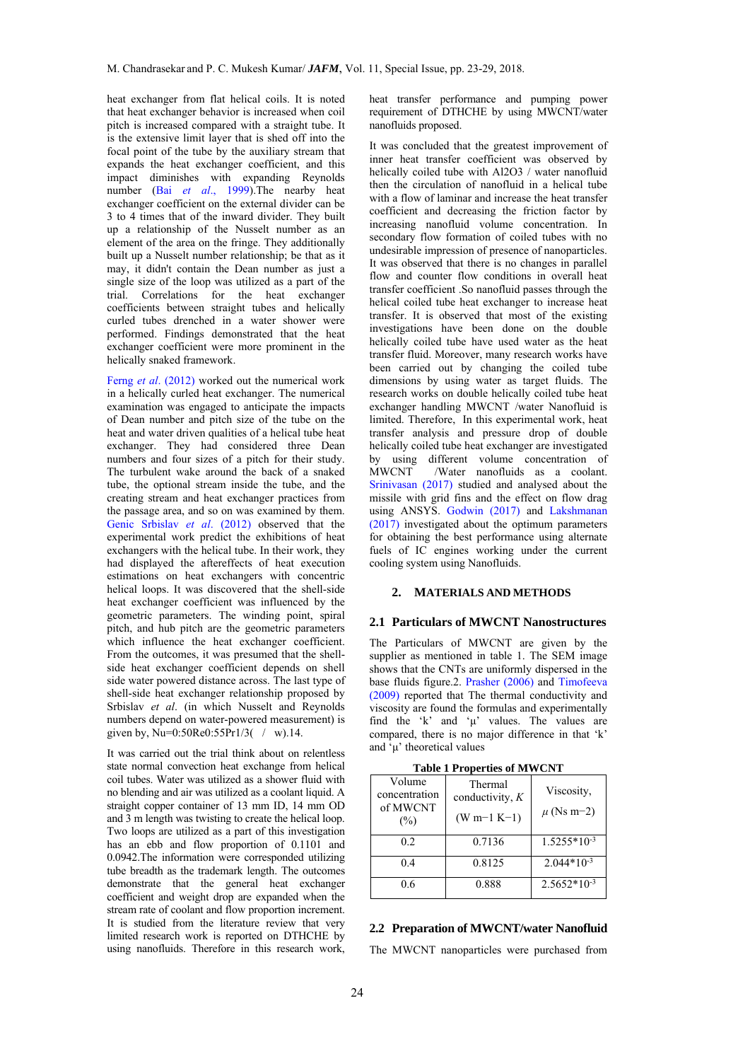heat exchanger from flat helical coils. It is noted that heat exchanger behavior is increased when coil pitch is increased compared with a straight tube. It is the extensive limit layer that is shed off into the focal point of the tube by the auxiliary stream that expands the heat exchanger coefficient, and this impact diminishes with expanding Reynolds number (Bai *et al*., 1999).The nearby heat exchanger coefficient on the external divider can be 3 to 4 times that of the inward divider. They built up a relationship of the Nusselt number as an element of the area on the fringe. They additionally built up a Nusselt number relationship; be that as it may, it didn't contain the Dean number as just a single size of the loop was utilized as a part of the trial. Correlations for the heat exchanger coefficients between straight tubes and helically curled tubes drenched in a water shower were performed. Findings demonstrated that the heat exchanger coefficient were more prominent in the helically snaked framework.

Ferng *et al*. (2012) worked out the numerical work in a helically curled heat exchanger. The numerical examination was engaged to anticipate the impacts of Dean number and pitch size of the tube on the heat and water driven qualities of a helical tube heat exchanger. They had considered three Dean numbers and four sizes of a pitch for their study. The turbulent wake around the back of a snaked tube, the optional stream inside the tube, and the creating stream and heat exchanger practices from the passage area, and so on was examined by them. Genic Srbislav *et al*. (2012) observed that the experimental work predict the exhibitions of heat exchangers with the helical tube. In their work, they had displayed the aftereffects of heat execution estimations on heat exchangers with concentric helical loops. It was discovered that the shell-side heat exchanger coefficient was influenced by the geometric parameters. The winding point, spiral pitch, and hub pitch are the geometric parameters which influence the heat exchanger coefficient. From the outcomes, it was presumed that the shellside heat exchanger coefficient depends on shell side water powered distance across. The last type of shell-side heat exchanger relationship proposed by Srbislav *et al*. (in which Nusselt and Reynolds numbers depend on water-powered measurement) is given by, Nu=0:50Re0:55Pr1/3( $/$ w).14.

It was carried out the trial think about on relentless state normal convection heat exchange from helical coil tubes. Water was utilized as a shower fluid with no blending and air was utilized as a coolant liquid. A straight copper container of 13 mm ID, 14 mm OD and 3 m length was twisting to create the helical loop. Two loops are utilized as a part of this investigation has an ebb and flow proportion of 0.1101 and 0.0942.The information were corresponded utilizing tube breadth as the trademark length. The outcomes demonstrate that the general heat exchanger coefficient and weight drop are expanded when the stream rate of coolant and flow proportion increment. It is studied from the literature review that very limited research work is reported on DTHCHE by using nanofluids. Therefore in this research work,

heat transfer performance and pumping power requirement of DTHCHE by using MWCNT/water nanofluids proposed.

It was concluded that the greatest improvement of inner heat transfer coefficient was observed by helically coiled tube with Al2O3 / water nanofluid then the circulation of nanofluid in a helical tube with a flow of laminar and increase the heat transfer coefficient and decreasing the friction factor by increasing nanofluid volume concentration. In secondary flow formation of coiled tubes with no undesirable impression of presence of nanoparticles. It was observed that there is no changes in parallel flow and counter flow conditions in overall heat transfer coefficient .So nanofluid passes through the helical coiled tube heat exchanger to increase heat transfer. It is observed that most of the existing investigations have been done on the double helically coiled tube have used water as the heat transfer fluid. Moreover, many research works have been carried out by changing the coiled tube dimensions by using water as target fluids. The research works on double helically coiled tube heat exchanger handling MWCNT /water Nanofluid is limited. Therefore, In this experimental work, heat transfer analysis and pressure drop of double helically coiled tube heat exchanger are investigated by using different volume concentration of<br>MWCNT /Water nanofluids as a coolant /Water nanofluids as a coolant. Srinivasan (2017) studied and analysed about the missile with grid fins and the effect on flow drag using ANSYS. Godwin (2017) and Lakshmanan (2017) investigated about the optimum parameters for obtaining the best performance using alternate fuels of IC engines working under the current cooling system using Nanofluids.

## **2. MATERIALS AND METHODS**

#### **2.1 Particulars of MWCNT Nanostructures**

The Particulars of MWCNT are given by the supplier as mentioned in table 1. The SEM image shows that the CNTs are uniformly dispersed in the base fluids figure.2. Prasher (2006) and Timofeeva (2009) reported that The thermal conductivity and viscosity are found the formulas and experimentally find the 'k' and 'μ' values. The values are compared, there is no major difference in that 'k' and 'μ' theoretical values

| Volume<br>concentration<br>of MWCNT<br>(%) | Thermal<br>conductivity, $K$<br>$(W m-1 K-1)$ | Viscosity,<br>$\mu$ (Ns m-2) |
|--------------------------------------------|-----------------------------------------------|------------------------------|
| 0.2                                        | 0.7136                                        | $1.5255*10-3$                |
| 0 <sub>4</sub>                             | 0.8125                                        | $2.044*10^{-3}$              |
| 06                                         | 0.888                                         | $2.5652*103$                 |

**Table 1 Properties of MWCNT** 

#### **2.2 Preparation of MWCNT/water Nanofluid**

The MWCNT nanoparticles were purchased from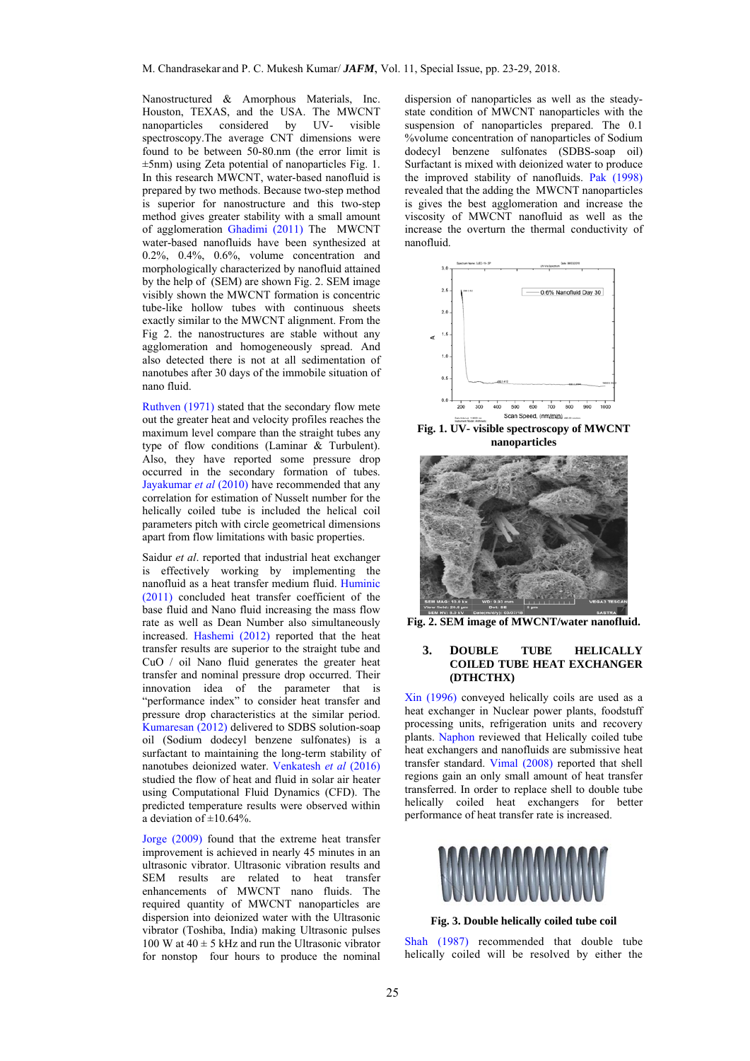Nanostructured & Amorphous Materials, Inc. Houston, TEXAS, and the USA. The MWCNT nanoparticles considered by UV- visible spectroscopy.The average CNT dimensions were found to be between 50-80.nm (the error limit is ±5nm) using Zeta potential of nanoparticles Fig. 1. In this research MWCNT, water-based nanofluid is prepared by two methods. Because two-step method is superior for nanostructure and this two-step method gives greater stability with a small amount of agglomeration Ghadimi (2011) The MWCNT water-based nanofluids have been synthesized at 0.2%, 0.4%, 0.6%, volume concentration and morphologically characterized by nanofluid attained by the help of (SEM) are shown Fig. 2. SEM image visibly shown the MWCNT formation is concentric tube-like hollow tubes with continuous sheets exactly similar to the MWCNT alignment. From the Fig 2. the nanostructures are stable without any agglomeration and homogeneously spread. And also detected there is not at all sedimentation of nanotubes after 30 days of the immobile situation of nano fluid.

Ruthven (1971) stated that the secondary flow mete out the greater heat and velocity profiles reaches the maximum level compare than the straight tubes any type of flow conditions (Laminar & Turbulent). Also, they have reported some pressure drop occurred in the secondary formation of tubes. Jayakumar *et al* (2010) have recommended that any correlation for estimation of Nusselt number for the helically coiled tube is included the helical coil parameters pitch with circle geometrical dimensions apart from flow limitations with basic properties.

Saidur *et al*. reported that industrial heat exchanger is effectively working by implementing the nanofluid as a heat transfer medium fluid. Huminic (2011) concluded heat transfer coefficient of the base fluid and Nano fluid increasing the mass flow rate as well as Dean Number also simultaneously increased. Hashemi (2012) reported that the heat transfer results are superior to the straight tube and CuO / oil Nano fluid generates the greater heat transfer and nominal pressure drop occurred. Their innovation idea of the parameter that is "performance index" to consider heat transfer and pressure drop characteristics at the similar period. Kumaresan (2012) delivered to SDBS solution-soap oil (Sodium dodecyl benzene sulfonates) is a surfactant to maintaining the long-term stability of nanotubes deionized water. Venkatesh *et al* (2016) studied the flow of heat and fluid in solar air heater using Computational Fluid Dynamics (CFD). The predicted temperature results were observed within a deviation of  $\pm 10.64\%$ 

Jorge (2009) found that the extreme heat transfer improvement is achieved in nearly 45 minutes in an ultrasonic vibrator. Ultrasonic vibration results and SEM results are related to heat transfer enhancements of MWCNT nano fluids. The required quantity of MWCNT nanoparticles are dispersion into deionized water with the Ultrasonic vibrator (Toshiba, India) making Ultrasonic pulses 100 W at  $40 \pm 5$  kHz and run the Ultrasonic vibrator for nonstop four hours to produce the nominal

dispersion of nanoparticles as well as the steadystate condition of MWCNT nanoparticles with the suspension of nanoparticles prepared. The 0.1 %volume concentration of nanoparticles of Sodium dodecyl benzene sulfonates (SDBS-soap oil) Surfactant is mixed with deionized water to produce the improved stability of nanofluids. Pak (1998) revealed that the adding the MWCNT nanoparticles is gives the best agglomeration and increase the viscosity of MWCNT nanofluid as well as the increase the overturn the thermal conductivity of nanofluid.



**Fig. 1. UV- visible spectroscopy of MWCNT nanoparticles** 



**Fig. 2. SEM image of MWCNT/water nanofluid.** 

#### **3. DOUBLE TUBE HELICALLY COILED TUBE HEAT EXCHANGER (DTHCTHX)**

Xin (1996) conveyed helically coils are used as a heat exchanger in Nuclear power plants, foodstuff processing units, refrigeration units and recovery plants. Naphon reviewed that Helically coiled tube heat exchangers and nanofluids are submissive heat transfer standard. Vimal (2008) reported that shell regions gain an only small amount of heat transfer transferred. In order to replace shell to double tube helically coiled heat exchangers for better performance of heat transfer rate is increased.



**Fig. 3. Double helically coiled tube coil** 

Shah (1987) recommended that double tube helically coiled will be resolved by either the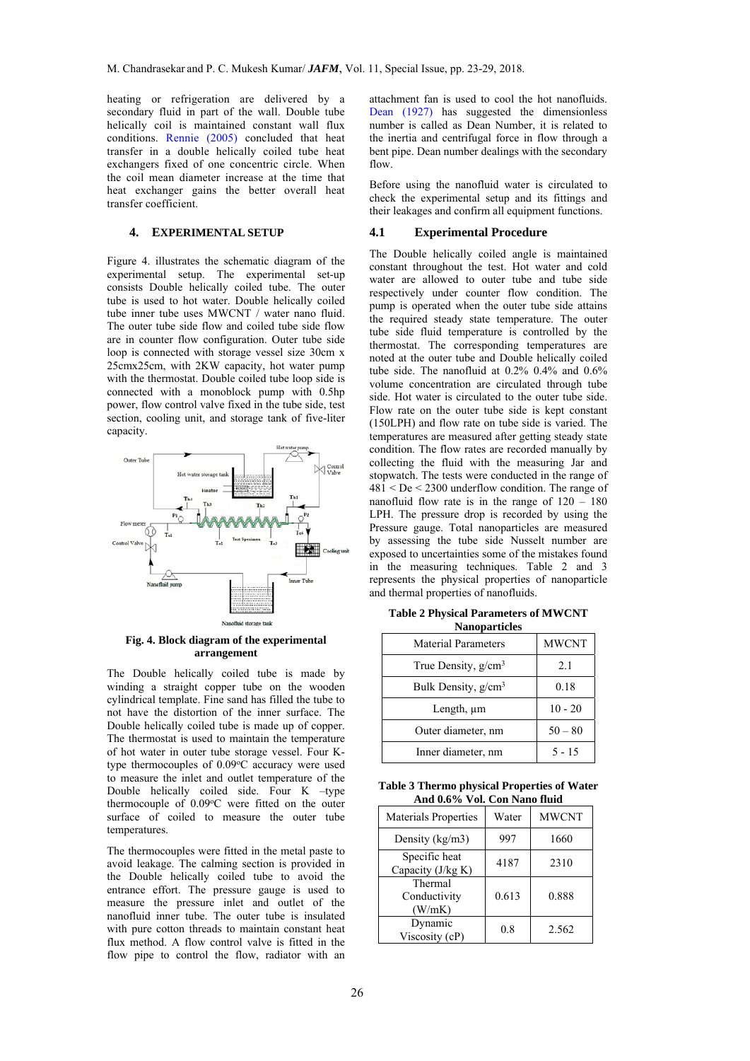heating or refrigeration are delivered by a secondary fluid in part of the wall. Double tube helically coil is maintained constant wall flux conditions. Rennie (2005) concluded that heat transfer in a double helically coiled tube heat exchangers fixed of one concentric circle. When the coil mean diameter increase at the time that heat exchanger gains the better overall heat transfer coefficient.

#### **4. EXPERIMENTAL SETUP**

Figure 4. illustrates the schematic diagram of the experimental setup. The experimental set-up consists Double helically coiled tube. The outer tube is used to hot water. Double helically coiled tube inner tube uses MWCNT / water nano fluid. The outer tube side flow and coiled tube side flow are in counter flow configuration. Outer tube side loop is connected with storage vessel size 30cm x 25cmx25cm, with 2KW capacity, hot water pump with the thermostat. Double coiled tube loop side is connected with a monoblock pump with 0.5hp power, flow control valve fixed in the tube side, test section, cooling unit, and storage tank of five-liter capacity.



## **Fig. 4. Block diagram of the experimental arrangement**

The Double helically coiled tube is made by winding a straight copper tube on the wooden cylindrical template. Fine sand has filled the tube to not have the distortion of the inner surface. The Double helically coiled tube is made up of copper. The thermostat is used to maintain the temperature of hot water in outer tube storage vessel. Four Ktype thermocouples of  $0.09^{\circ}$ C accuracy were used to measure the inlet and outlet temperature of the Double helically coiled side. Four K –type thermocouple of  $0.09^{\circ}$ C were fitted on the outer surface of coiled to measure the outer tube temperatures.

The thermocouples were fitted in the metal paste to avoid leakage. The calming section is provided in the Double helically coiled tube to avoid the entrance effort. The pressure gauge is used to measure the pressure inlet and outlet of the nanofluid inner tube. The outer tube is insulated with pure cotton threads to maintain constant heat flux method. A flow control valve is fitted in the flow pipe to control the flow, radiator with an

attachment fan is used to cool the hot nanofluids. Dean (1927) has suggested the dimensionless number is called as Dean Number, it is related to the inertia and centrifugal force in flow through a bent pipe. Dean number dealings with the secondary flow.

Before using the nanofluid water is circulated to check the experimental setup and its fittings and their leakages and confirm all equipment functions.

#### **4.1 Experimental Procedure**

The Double helically coiled angle is maintained constant throughout the test. Hot water and cold water are allowed to outer tube and tube side respectively under counter flow condition. The pump is operated when the outer tube side attains the required steady state temperature. The outer tube side fluid temperature is controlled by the thermostat. The corresponding temperatures are noted at the outer tube and Double helically coiled tube side. The nanofluid at 0.2% 0.4% and 0.6% volume concentration are circulated through tube side. Hot water is circulated to the outer tube side. Flow rate on the outer tube side is kept constant (150LPH) and flow rate on tube side is varied. The temperatures are measured after getting steady state condition. The flow rates are recorded manually by collecting the fluid with the measuring Jar and stopwatch. The tests were conducted in the range of  $481 <$  De  $<$  2300 underflow condition. The range of nanofluid flow rate is in the range of 120 – 180 LPH. The pressure drop is recorded by using the Pressure gauge. Total nanoparticles are measured by assessing the tube side Nusselt number are exposed to uncertainties some of the mistakes found in the measuring techniques. Table 2 and 3 represents the physical properties of nanoparticle and thermal properties of nanofluids.

**Table 2 Physical Parameters of MWCNT Nanoparticles** 

| <b>Material Parameters</b> | <b>MWCNT</b> |
|----------------------------|--------------|
| True Density, $g/cm3$      | 2.1          |
| Bulk Density, $g/cm3$      | 0.18         |
| Length, um                 | $10 - 20$    |
| Outer diameter, nm         | $50 - 80$    |
| Inner diameter, nm         | $5 - 15$     |

| Table 3 Thermo physical Properties of Water |  |
|---------------------------------------------|--|
| And 0.6% Vol. Con Nano fluid                |  |

| <b>Materials Properties</b>        | Water | <b>MWCNT</b> |
|------------------------------------|-------|--------------|
| Density $(kg/m3)$                  | 997   | 1660         |
| Specific heat<br>Capacity (J/kg K) | 4187  | 2310         |
| Thermal<br>Conductivity<br>(W/mK)  | 0.613 | 0.888        |
| Dynamic<br>Viscosity (cP)          | 0.8   | 2.562        |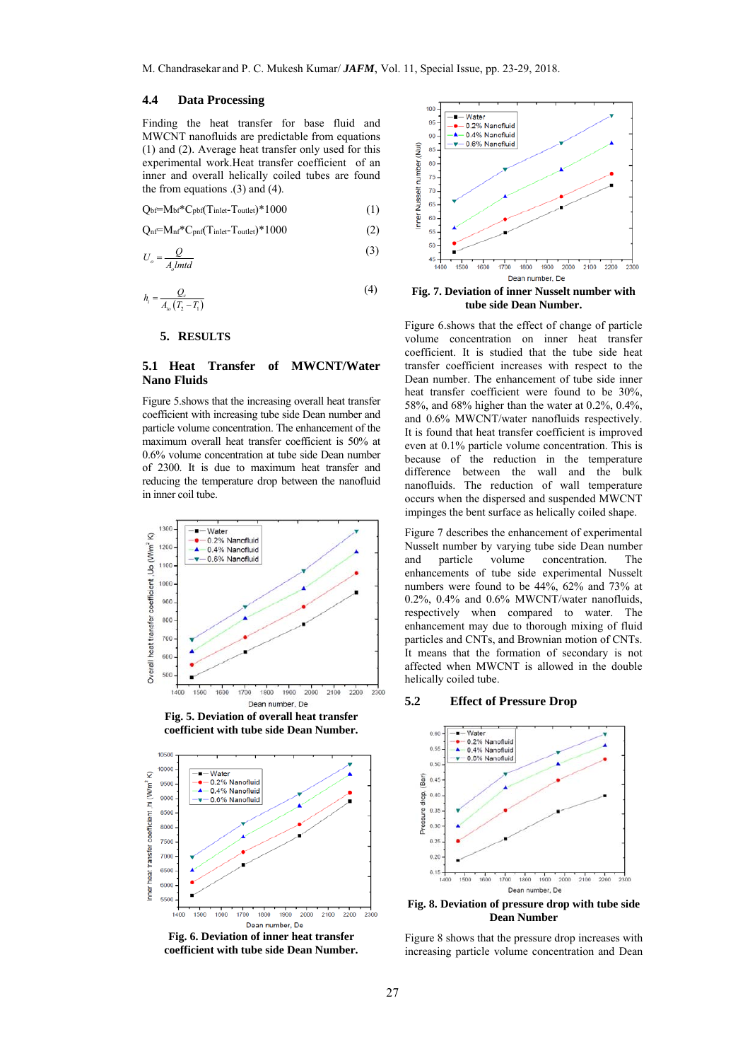## **4.4 Data Processing**

Finding the heat transfer for base fluid and MWCNT nanofluids are predictable from equations (1) and (2). Average heat transfer only used for this experimental work.Heat transfer coefficient of an inner and overall helically coiled tubes are found the from equations .(3) and (4).

$$
Q_{\text{bf}} = M_{\text{bf}}^* C_{\text{pbf}} (T_{\text{inlet}} - T_{\text{outlet}})^* 1000 \tag{1}
$$

$$
Q_{nf} = M_{nf} * C_{pnf}(T_{inlet} - T_{outlet}) * 1000
$$
 (2)

$$
U_o = \frac{Q}{A_o l m t d} \tag{3}
$$

$$
h_i = \frac{Q_c}{A_{io}\left(T_2 - T_1\right)}\tag{4}
$$

#### **5. RESULTS**

# **5.1 Heat Transfer of MWCNT/Water Nano Fluids**

Figure 5.shows that the increasing overall heat transfer coefficient with increasing tube side Dean number and particle volume concentration. The enhancement of the maximum overall heat transfer coefficient is 50% at 0.6% volume concentration at tube side Dean number of 2300. It is due to maximum heat transfer and reducing the temperature drop between the nanofluid in inner coil tube.







**Fig. 6. Deviation of inner heat transfer coefficient with tube side Dean Number.** 



**Fig. 7. Deviation of inner Nusselt number with tube side Dean Number.**

Figure 6.shows that the effect of change of particle volume concentration on inner heat transfer coefficient. It is studied that the tube side heat transfer coefficient increases with respect to the Dean number. The enhancement of tube side inner heat transfer coefficient were found to be 30%, 58%, and 68% higher than the water at 0.2%, 0.4%, and 0.6% MWCNT/water nanofluids respectively. It is found that heat transfer coefficient is improved even at 0.1% particle volume concentration. This is because of the reduction in the temperature difference between the wall and the bulk nanofluids. The reduction of wall temperature occurs when the dispersed and suspended MWCNT impinges the bent surface as helically coiled shape.

Figure 7 describes the enhancement of experimental Nusselt number by varying tube side Dean number and particle volume concentration. The enhancements of tube side experimental Nusselt numbers were found to be 44%, 62% and 73% at 0.2%, 0.4% and 0.6% MWCNT/water nanofluids, respectively when compared to water. The enhancement may due to thorough mixing of fluid particles and CNTs, and Brownian motion of CNTs. It means that the formation of secondary is not affected when MWCNT is allowed in the double helically coiled tube.

## **5.2 Effect of Pressure Drop**



**Fig. 8. Deviation of pressure drop with tube side Dean Number** 

Figure 8 shows that the pressure drop increases with increasing particle volume concentration and Dean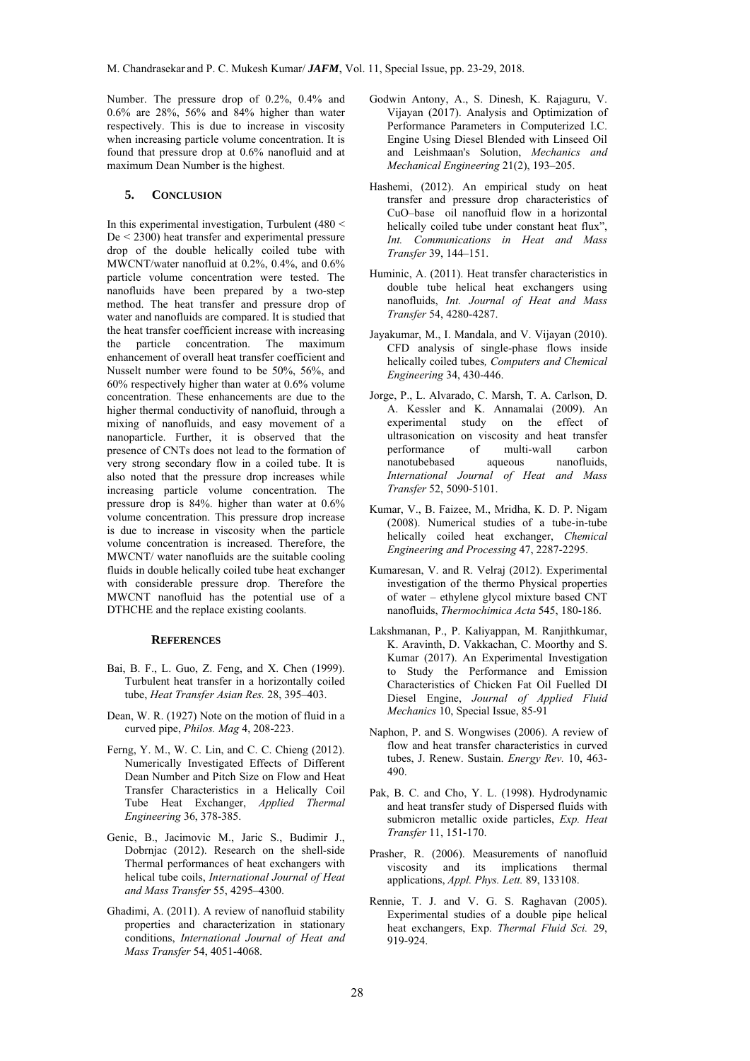Number. The pressure drop of 0.2%, 0.4% and 0.6% are 28%, 56% and 84% higher than water respectively. This is due to increase in viscosity when increasing particle volume concentration. It is found that pressure drop at 0.6% nanofluid and at maximum Dean Number is the highest.

## **5. CONCLUSION**

In this experimental investigation, Turbulent (480 < De < 2300) heat transfer and experimental pressure drop of the double helically coiled tube with MWCNT/water nanofluid at 0.2%, 0.4%, and 0.6% particle volume concentration were tested. The nanofluids have been prepared by a two-step method. The heat transfer and pressure drop of water and nanofluids are compared. It is studied that the heat transfer coefficient increase with increasing the particle concentration. The maximum enhancement of overall heat transfer coefficient and Nusselt number were found to be 50%, 56%, and 60% respectively higher than water at 0.6% volume concentration. These enhancements are due to the higher thermal conductivity of nanofluid, through a mixing of nanofluids, and easy movement of a nanoparticle. Further, it is observed that the presence of CNTs does not lead to the formation of very strong secondary flow in a coiled tube. It is also noted that the pressure drop increases while increasing particle volume concentration. The pressure drop is 84%. higher than water at 0.6% volume concentration. This pressure drop increase is due to increase in viscosity when the particle volume concentration is increased. Therefore, the MWCNT/ water nanofluids are the suitable cooling fluids in double helically coiled tube heat exchanger with considerable pressure drop. Therefore the MWCNT nanofluid has the potential use of a DTHCHE and the replace existing coolants.

#### **REFERENCES**

- Bai, B. F., L. Guo, Z. Feng, and X. Chen (1999). Turbulent heat transfer in a horizontally coiled tube, *Heat Transfer Asian Res.* 28, 395–403.
- Dean, W. R. (1927) Note on the motion of fluid in a curved pipe, *Philos. Mag* 4, 208-223.
- Ferng, Y. M., W. C. Lin, and C. C. Chieng (2012). Numerically Investigated Effects of Different Dean Number and Pitch Size on Flow and Heat Transfer Characteristics in a Helically Coil Tube Heat Exchanger, *Applied Thermal Engineering* 36, 378-385.
- Genic, B., Jacimovic M., Jaric S., Budimir J., Dobrnjac (2012). Research on the shell-side Thermal performances of heat exchangers with helical tube coils, *International Journal of Heat and Mass Transfer* 55, 4295–4300.
- Ghadimi, A. (2011). A review of nanofluid stability properties and characterization in stationary conditions, *International Journal of Heat and Mass Transfer* 54, 4051-4068.
- Godwin Antony, A., S. Dinesh, K. Rajaguru, V. Vijayan (2017). Analysis and Optimization of Performance Parameters in Computerized I.C. Engine Using Diesel Blended with Linseed Oil and Leishmaan's Solution, *Mechanics and Mechanical Engineering* 21(2), 193–205.
- Hashemi, (2012). An empirical study on heat transfer and pressure drop characteristics of CuO–base oil nanofluid flow in a horizontal helically coiled tube under constant heat flux", *Int. Communications in Heat and Mass Transfer* 39, 144–151.
- Huminic, A. (2011). Heat transfer characteristics in double tube helical heat exchangers using nanofluids, *Int. Journal of Heat and Mass Transfer* 54, 4280-4287.
- Jayakumar, M., I. Mandala, and V. Vijayan (2010). CFD analysis of single-phase flows inside helically coiled tubes*, Computers and Chemical Engineering* 34, 430-446.
- Jorge, P., L. Alvarado, C. Marsh, T. A. Carlson, D. A. Kessler and K. Annamalai (2009). An experimental study on the effect of ultrasonication on viscosity and heat transfer performance of multi-wall carbon nanotubebased aqueous nanofluids, *International Journal of Heat and Mass Transfer* 52, 5090-5101.
- Kumar, V., B. Faizee, M., Mridha, K. D. P. Nigam (2008). Numerical studies of a tube-in-tube helically coiled heat exchanger, *Chemical Engineering and Processing* 47, 2287-2295.
- Kumaresan, V. and R. Velraj (2012). Experimental investigation of the thermo Physical properties of water – ethylene glycol mixture based CNT nanofluids, *Thermochimica Acta* 545, 180-186.
- Lakshmanan, P., P. Kaliyappan, M. Ranjithkumar, K. Aravinth, D. Vakkachan, C. Moorthy and S. Kumar (2017). An Experimental Investigation to Study the Performance and Emission Characteristics of Chicken Fat Oil Fuelled DI Diesel Engine, *Journal of Applied Fluid Mechanics* 10, Special Issue, 85-91
- Naphon, P. and S. Wongwises (2006). A review of flow and heat transfer characteristics in curved tubes, J. Renew. Sustain. *Energy Rev.* 10, 463- 490.
- Pak, B. C. and Cho, Y. L. (1998). Hydrodynamic and heat transfer study of Dispersed fluids with submicron metallic oxide particles, *Exp. Heat Transfer* 11, 151-170.
- Prasher, R. (2006). Measurements of nanofluid viscosity and its implications thermal applications, *Appl. Phys. Lett.* 89, 133108.
- Rennie, T. J. and V. G. S. Raghavan (2005). Experimental studies of a double pipe helical heat exchangers, Exp. *Thermal Fluid Sci.* 29, 919-924.